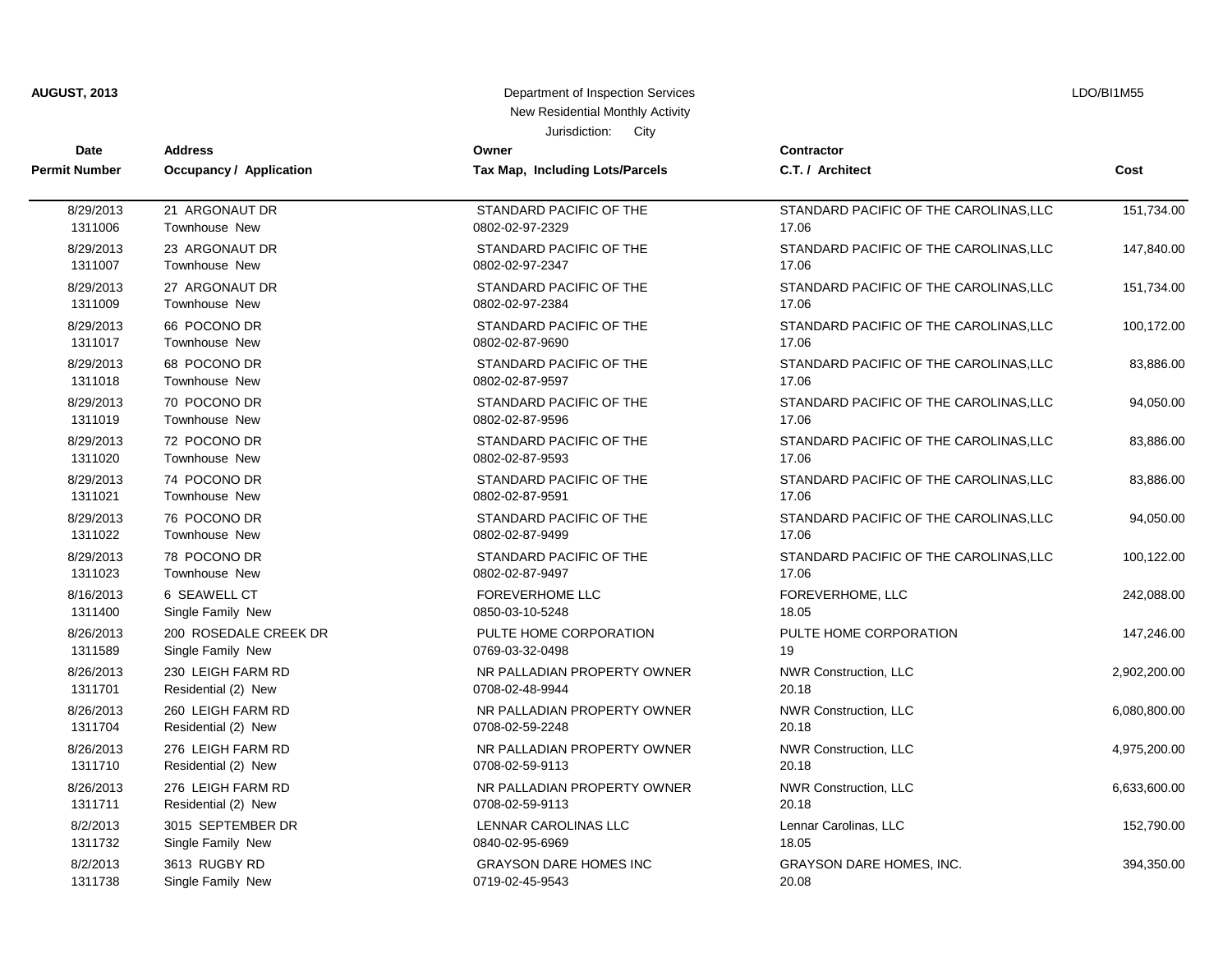| <b>AUGUST, 2013</b> |  |
|---------------------|--|
|---------------------|--|

## **AUGUST, 2013** Department of Inspection Services New Residential Monthly Activity

LDO/BI1M55

Jurisdiction: City

| <b>Date</b>          | <b>Address</b>                 | Owner                           | <b>Contractor</b>                      | Cost         |
|----------------------|--------------------------------|---------------------------------|----------------------------------------|--------------|
| <b>Permit Number</b> | <b>Occupancy / Application</b> | Tax Map, Including Lots/Parcels | C.T. / Architect                       |              |
| 8/29/2013            | 21 ARGONAUT DR                 | STANDARD PACIFIC OF THE         | STANDARD PACIFIC OF THE CAROLINAS, LLC | 151,734.00   |
| 1311006              | Townhouse New                  | 0802-02-97-2329                 | 17.06                                  |              |
| 8/29/2013            | 23 ARGONAUT DR                 | STANDARD PACIFIC OF THE         | STANDARD PACIFIC OF THE CAROLINAS, LLC | 147,840.00   |
| 1311007              | Townhouse New                  | 0802-02-97-2347                 | 17.06                                  |              |
| 8/29/2013            | 27 ARGONAUT DR                 | STANDARD PACIFIC OF THE         | STANDARD PACIFIC OF THE CAROLINAS, LLC | 151,734.00   |
| 1311009              | <b>Townhouse New</b>           | 0802-02-97-2384                 | 17.06                                  |              |
| 8/29/2013            | 66 POCONO DR                   | STANDARD PACIFIC OF THE         | STANDARD PACIFIC OF THE CAROLINAS, LLC | 100,172.00   |
| 1311017              | Townhouse New                  | 0802-02-87-9690                 | 17.06                                  |              |
| 8/29/2013            | 68 POCONO DR                   | STANDARD PACIFIC OF THE         | STANDARD PACIFIC OF THE CAROLINAS, LLC | 83,886.00    |
| 1311018              | Townhouse New                  | 0802-02-87-9597                 | 17.06                                  |              |
| 8/29/2013            | 70 POCONO DR                   | STANDARD PACIFIC OF THE         | STANDARD PACIFIC OF THE CAROLINAS, LLC | 94,050.00    |
| 1311019              | Townhouse New                  | 0802-02-87-9596                 | 17.06                                  |              |
| 8/29/2013            | 72 POCONO DR                   | STANDARD PACIFIC OF THE         | STANDARD PACIFIC OF THE CAROLINAS, LLC | 83,886.00    |
| 1311020              | Townhouse New                  | 0802-02-87-9593                 | 17.06                                  |              |
| 8/29/2013            | 74 POCONO DR                   | STANDARD PACIFIC OF THE         | STANDARD PACIFIC OF THE CAROLINAS, LLC | 83,886.00    |
| 1311021              | Townhouse New                  | 0802-02-87-9591                 | 17.06                                  |              |
| 8/29/2013            | 76 POCONO DR                   | STANDARD PACIFIC OF THE         | STANDARD PACIFIC OF THE CAROLINAS, LLC | 94,050.00    |
| 1311022              | Townhouse New                  | 0802-02-87-9499                 | 17.06                                  |              |
| 8/29/2013            | 78 POCONO DR                   | STANDARD PACIFIC OF THE         | STANDARD PACIFIC OF THE CAROLINAS, LLC | 100,122.00   |
| 1311023              | Townhouse New                  | 0802-02-87-9497                 | 17.06                                  |              |
| 8/16/2013            | 6 SEAWELL CT                   | <b>FOREVERHOME LLC</b>          | FOREVERHOME, LLC                       | 242,088.00   |
| 1311400              | Single Family New              | 0850-03-10-5248                 | 18.05                                  |              |
| 8/26/2013            | 200 ROSEDALE CREEK DR          | PULTE HOME CORPORATION          | PULTE HOME CORPORATION                 | 147,246.00   |
| 1311589              | Single Family New              | 0769-03-32-0498                 | 19                                     |              |
| 8/26/2013            | 230 LEIGH FARM RD              | NR PALLADIAN PROPERTY OWNER     | NWR Construction, LLC                  | 2,902,200.00 |
| 1311701              | Residential (2) New            | 0708-02-48-9944                 | 20.18                                  |              |
| 8/26/2013            | 260 LEIGH FARM RD              | NR PALLADIAN PROPERTY OWNER     | NWR Construction, LLC                  | 6,080,800.00 |
| 1311704              | Residential (2) New            | 0708-02-59-2248                 | 20.18                                  |              |
| 8/26/2013            | 276 LEIGH FARM RD              | NR PALLADIAN PROPERTY OWNER     | NWR Construction, LLC                  | 4,975,200.00 |
| 1311710              | Residential (2) New            | 0708-02-59-9113                 | 20.18                                  |              |
| 8/26/2013            | 276 LEIGH FARM RD              | NR PALLADIAN PROPERTY OWNER     | NWR Construction, LLC                  | 6,633,600.00 |
| 1311711              | Residential (2) New            | 0708-02-59-9113                 | 20.18                                  |              |
| 8/2/2013             | 3015 SEPTEMBER DR              | LENNAR CAROLINAS LLC            | Lennar Carolinas, LLC                  | 152,790.00   |
| 1311732              | Single Family New              | 0840-02-95-6969                 | 18.05                                  |              |
| 8/2/2013             | 3613 RUGBY RD                  | <b>GRAYSON DARE HOMES INC</b>   | <b>GRAYSON DARE HOMES, INC.</b>        | 394,350.00   |
| 1311738              | Single Family New              | 0719-02-45-9543                 | 20.08                                  |              |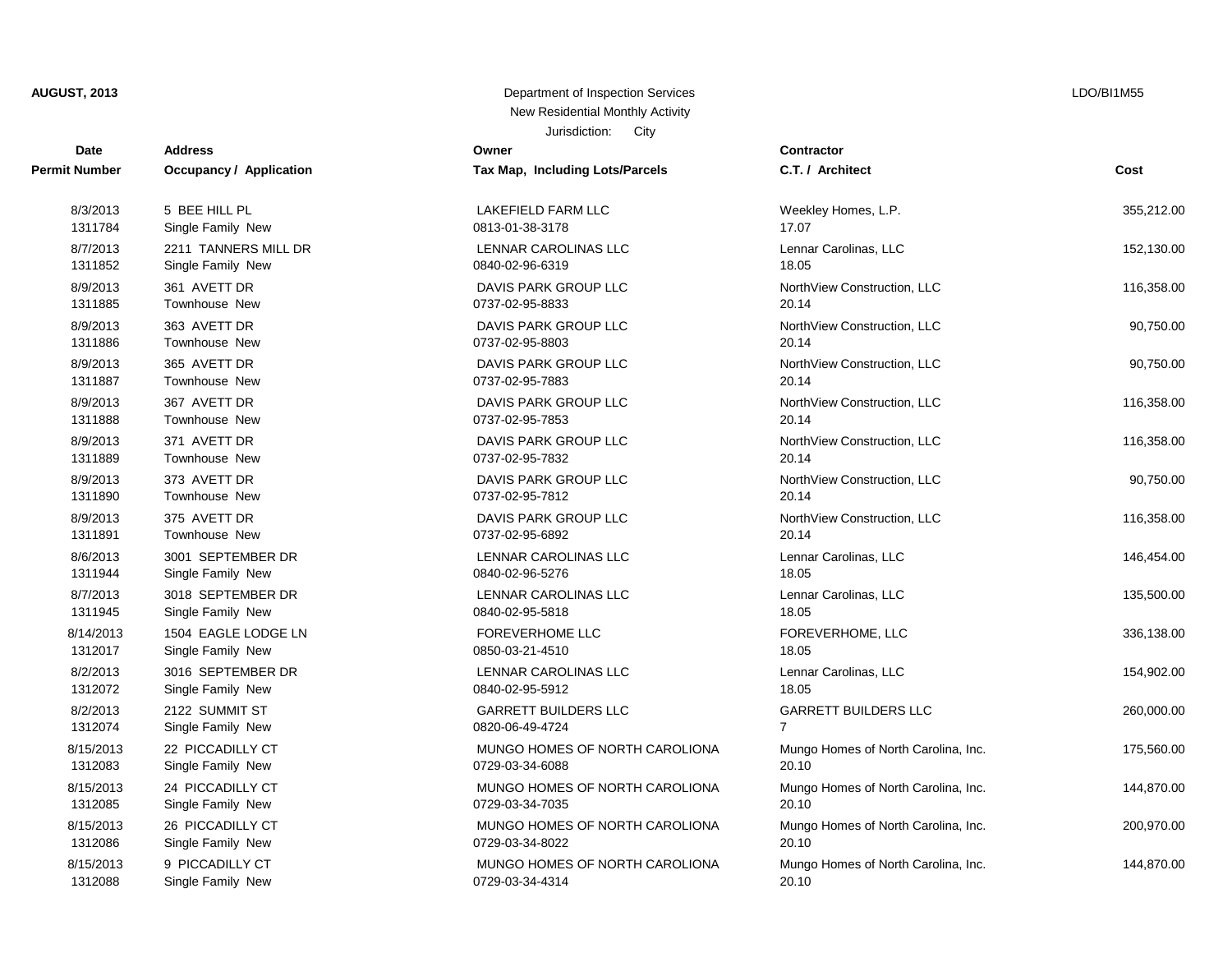## Jurisdiction: City **AUGUST, 2013** Department of Inspection Services New Residential Monthly Activity

| Date                 | <b>Address</b>                 | Owner                           | <b>Contractor</b> |
|----------------------|--------------------------------|---------------------------------|-------------------|
| <b>Permit Number</b> | <b>Occupancy / Application</b> | Tax Map, Including Lots/Parcels | C.T. / Arch       |
| 8/3/2013             | 5 BEE HILL PL                  | <b>LAKEFIELD FARM LLC</b>       | Weekley H         |
| 1311784              | Single Family New              | 0813-01-38-3178                 | 17.07             |
| 8/7/2013             | 2211 TANNERS MILL DR           | LENNAR CAROLINAS LLC            | Lennar Car        |
| 1311852              | Single Family New              | 0840-02-96-6319                 | 18.05             |
| 8/9/2013             | 361 AVETT DR                   | DAVIS PARK GROUP LLC            | NorthView         |
| 1311885              | <b>Townhouse New</b>           | 0737-02-95-8833                 | 20.14             |
| 8/9/2013             | 363 AVETT DR                   | DAVIS PARK GROUP LLC            | NorthView         |
| 1311886              | <b>Townhouse New</b>           | 0737-02-95-8803                 | 20.14             |
| 8/9/2013             | 365 AVETT DR                   | DAVIS PARK GROUP LLC            | NorthView         |
| 1311887              | Townhouse New                  | 0737-02-95-7883                 | 20.14             |
| 8/9/2013             | 367 AVETT DR                   | DAVIS PARK GROUP LLC            | NorthView         |
| 1311888              | Townhouse New                  | 0737-02-95-7853                 | 20.14             |
| 8/9/2013             | 371 AVETT DR                   | DAVIS PARK GROUP LLC            | NorthView         |
| 1311889              | <b>Townhouse New</b>           | 0737-02-95-7832                 | 20.14             |
| 8/9/2013             | 373 AVETT DR                   | DAVIS PARK GROUP LLC            | NorthView         |
| 1311890              | <b>Townhouse New</b>           | 0737-02-95-7812                 | 20.14             |
| 8/9/2013             | 375 AVETT DR                   | DAVIS PARK GROUP LLC            | NorthView         |
| 1311891              | <b>Townhouse New</b>           | 0737-02-95-6892                 | 20.14             |
| 8/6/2013             | 3001 SEPTEMBER DR              | <b>LENNAR CAROLINAS LLC</b>     | Lennar Car        |
| 1311944              | Single Family New              | 0840-02-96-5276                 | 18.05             |
| 8/7/2013             | 3018 SEPTEMBER DR              | LENNAR CAROLINAS LLC            | Lennar Car        |
| 1311945              | Single Family New              | 0840-02-95-5818                 | 18.05             |
| 8/14/2013            | 1504 EAGLE LODGE LN            | <b>FOREVERHOME LLC</b>          | <b>FOREVERI</b>   |
| 1312017              | Single Family New              | 0850-03-21-4510                 | 18.05             |
| 8/2/2013             | 3016 SEPTEMBER DR              | LENNAR CAROLINAS LLC            | Lennar Car        |
| 1312072              | Single Family New              | 0840-02-95-5912                 | 18.05             |
| 8/2/2013             | 2122 SUMMIT ST                 | <b>GARRETT BUILDERS LLC</b>     | GARRETT           |
| 1312074              | Single Family New              | 0820-06-49-4724                 | $\overline{7}$    |
| 8/15/2013            | 22 PICCADILLY CT               | MUNGO HOMES OF NORTH CAROLIONA  | Mungo Hon         |
| 1312083              | Single Family New              | 0729-03-34-6088                 | 20.10             |
| 8/15/2013            | 24 PICCADILLY CT               | MUNGO HOMES OF NORTH CAROLIONA  | Mungo Hon         |
| 1312085              | Single Family New              | 0729-03-34-7035                 | 20.10             |
| 8/15/2013            | 26 PICCADILLY CT               | MUNGO HOMES OF NORTH CAROLIONA  | Mungo Hon         |
| 1312086              | Single Family New              | 0729-03-34-8022                 | 20.10             |
| 8/15/2013            | 9 PICCADILLY CT                | MUNGO HOMES OF NORTH CAROLIONA  | Mungo Hon         |
| 1312088              | Single Family New              | 0729-03-34-4314                 | 20.10             |

| <b>Fax Map, Including Lots/Parcels</b>            |
|---------------------------------------------------|
| LAKEFIELD FARM LLC<br>0813-01-38-3178             |
| LENNAR CAROLINAS LLC<br>0840-02-96-6319           |
| DAVIS PARK GROUP LLC<br>0737-02-95-8833           |
| DAVIS PARK GROUP LLC<br>)737-02-95-8803           |
| DAVIS PARK GROUP LLC<br>0737-02-95-7883           |
| DAVIS PARK GROUP LLC<br>)737-02-95-7853           |
| DAVIS PARK GROUP LLC<br>0737-02-95-7832           |
| DAVIS PARK GROUP LLC<br>)737-02-95-7812           |
| DAVIS PARK GROUP LLC<br>)737-02-95-6892           |
| LENNAR CAROLINAS LLC<br>0840-02-96-5276           |
| LENNAR CAROLINAS LLC<br>0840-02-95-5818           |
| FOREVERHOME LLC<br>0850-03-21-4510                |
| LENNAR CAROLINAS LLC<br>0840-02-95-5912           |
| GARRETT BUILDERS LLC<br>)820-06-49-4724           |
| MUNGO HOMES OF NORTH CAROLION.<br>0729-03-34-6088 |
| MUNGO HOMES OF NORTH CAROLION.<br>)729-03-34-7035 |
| MUNGO HOMES OF NORTH CAROLION.<br>0729-03-34-8022 |
| MUNGO HOMES OF NORTH CAROLION.<br>0729-03-34-4314 |

| Date          | <b>Address</b>                 | Owner                           | Contractor                          |            |
|---------------|--------------------------------|---------------------------------|-------------------------------------|------------|
| Permit Number | <b>Occupancy / Application</b> | Tax Map, Including Lots/Parcels | C.T. / Architect                    | Cost       |
| 8/3/2013      | 5 BEE HILL PL                  | LAKEFIELD FARM LLC              | Weekley Homes, L.P.                 | 355,212.00 |
| 1311784       | Single Family New              | 0813-01-38-3178                 | 17.07                               |            |
| 8/7/2013      | 2211 TANNERS MILL DR           | LENNAR CAROLINAS LLC            | Lennar Carolinas, LLC               | 152,130.00 |
| 1311852       | Single Family New              | 0840-02-96-6319                 | 18.05                               |            |
| 8/9/2013      | 361 AVETT DR                   | DAVIS PARK GROUP LLC            | NorthView Construction, LLC         | 116,358.00 |
| 1311885       | Townhouse New                  | 0737-02-95-8833                 | 20.14                               |            |
| 8/9/2013      | 363 AVETT DR                   | DAVIS PARK GROUP LLC            | NorthView Construction, LLC         | 90,750.00  |
| 1311886       | Townhouse New                  | 0737-02-95-8803                 | 20.14                               |            |
| 8/9/2013      | 365 AVETT DR                   | DAVIS PARK GROUP LLC            | NorthView Construction, LLC         | 90,750.00  |
| 1311887       | Townhouse New                  | 0737-02-95-7883                 | 20.14                               |            |
| 8/9/2013      | 367 AVETT DR                   | DAVIS PARK GROUP LLC            | NorthView Construction, LLC         | 116,358.00 |
| 1311888       | Townhouse New                  | 0737-02-95-7853                 | 20.14                               |            |
| 8/9/2013      | 371 AVETT DR                   | DAVIS PARK GROUP LLC            | NorthView Construction, LLC         | 116,358.00 |
| 1311889       | Townhouse New                  | 0737-02-95-7832                 | 20.14                               |            |
| 8/9/2013      | 373 AVETT DR                   | DAVIS PARK GROUP LLC            | NorthView Construction, LLC         | 90,750.00  |
| 1311890       | Townhouse New                  | 0737-02-95-7812                 | 20.14                               |            |
| 8/9/2013      | 375 AVETT DR                   | DAVIS PARK GROUP LLC            | NorthView Construction, LLC         | 116,358.00 |
| 1311891       | Townhouse New                  | 0737-02-95-6892                 | 20.14                               |            |
| 8/6/2013      | 3001 SEPTEMBER DR              | LENNAR CAROLINAS LLC            | Lennar Carolinas, LLC               | 146,454.00 |
| 1311944       | Single Family New              | 0840-02-96-5276                 | 18.05                               |            |
| 8/7/2013      | 3018 SEPTEMBER DR              | LENNAR CAROLINAS LLC            | Lennar Carolinas, LLC               | 135,500.00 |
| 1311945       | Single Family New              | 0840-02-95-5818                 | 18.05                               |            |
| 8/14/2013     | 1504 EAGLE LODGE LN            | <b>FOREVERHOME LLC</b>          | FOREVERHOME, LLC                    | 336,138.00 |
| 1312017       | Single Family New              | 0850-03-21-4510                 | 18.05                               |            |
| 8/2/2013      | 3016 SEPTEMBER DR              | LENNAR CAROLINAS LLC            | Lennar Carolinas, LLC               | 154,902.00 |
| 1312072       | Single Family New              | 0840-02-95-5912                 | 18.05                               |            |
| 8/2/2013      | 2122 SUMMIT ST                 | <b>GARRETT BUILDERS LLC</b>     | <b>GARRETT BUILDERS LLC</b>         | 260,000.00 |
| 1312074       | Single Family New              | 0820-06-49-4724                 | $\overline{7}$                      |            |
| 8/15/2013     | 22 PICCADILLY CT               | MUNGO HOMES OF NORTH CAROLIONA  | Mungo Homes of North Carolina, Inc. | 175,560.00 |
| 1312083       | Single Family New              | 0729-03-34-6088                 | 20.10                               |            |
| 8/15/2013     | 24 PICCADILLY CT               | MUNGO HOMES OF NORTH CAROLIONA  | Mungo Homes of North Carolina, Inc. | 144,870.00 |
| 1312085       | Single Family New              | 0729-03-34-7035                 | 20.10                               |            |
| 8/15/2013     | 26 PICCADILLY CT               | MUNGO HOMES OF NORTH CAROLIONA  | Mungo Homes of North Carolina, Inc. | 200,970.00 |
| 1312086       | Single Family New              | 0729-03-34-8022                 | 20.10                               |            |
| 8/15/2013     | 9 PICCADILLY CT                | MUNGO HOMES OF NORTH CAROLIONA  | Mungo Homes of North Carolina, Inc. | 144,870.00 |
| 1312088       | Single Family New              | 0729-03-34-4314                 | 20.10                               |            |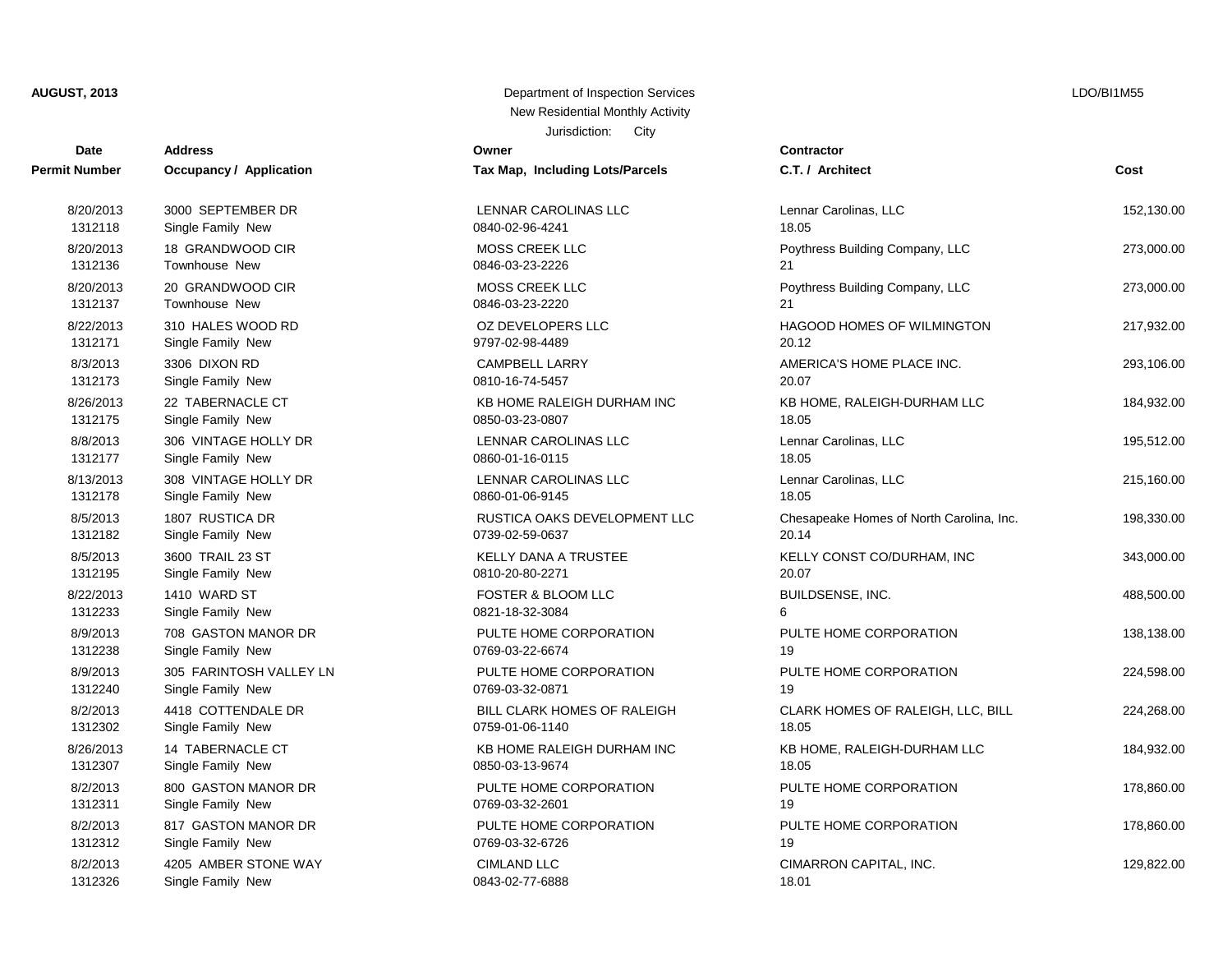## **Date Contractor Address Owner Permit Number Occupancy / Application Tax Map, Including Lots/Parcels C.T. / Architect Cost** 1312118 Single Family New 0840-02-96-4241 18.05 1312136 Townhouse New 0846-03-23-2226 21 1312137 Townhouse New 0846-03-23-2220 21 1312171 Single Family New 9797-02-98-4489 20.12 1312173 Single Family New 0810-16-74-5457 20.07 1312175 Single Family New 0850-03-23-0807 18.05 1312177 Single Family New 0860-01-16-0115 18.05 1312178 Single Family New 2012 18:05 0860-01-06-9145 1312182 Single Family New 0739-02-59-0637 20.14 1312195 Single Family New 0810-20-80-2271 20.07 1312233 Single Family New 0821-18-32-3084 6 1312238 Single Family New 0769-03-22-6674 19 1312240 Single Family New 0769-03-32-0871 1312302 Single Family New 0759-01-06-1140 1312307 Single Family New 2015 18:05 0850-03-13-9674 1312311 Single Family New 0769-03-32-2601 19 1312312 Single Family New 2010 10 0769-03-32-6726 1312326 Single Family New 0843-02-77-6888

#### Jurisdiction: City **AUGUST, 2013** Department of Inspection Services New Residential Monthly Activity

| Map, Including Lots/Parcels                    |
|------------------------------------------------|
| NAR CAROLINAS LLC<br>-02-96-4241               |
| SS CREEK LLC<br>$-03-23-2226$                  |
| SS CREEK LLC<br>-03-23-2220                    |
| <b>DEVELOPERS LLC</b><br>-02-98-4489           |
| IPBELL LARRY<br>-16-74-5457                    |
| HOME RALEIGH DURHAM INC<br>-03-23-0807         |
| NAR CAROLINAS LLC<br>$-01 - 16 - 0115$         |
| NAR CAROLINAS LLC<br>-01-06-9145               |
| TICA OAKS DEVELOPMENT LLC<br>$-02 - 59 - 0637$ |
| LY DANA A TRUSTEE<br>$-20 - 80 - 2271$         |
| TER & BLOOM LLC<br>-18-32-3084                 |
| TE HOME CORPORATION<br>$-03 - 22 - 6674$       |
| TE HOME CORPORATION<br>$-03-32-0871$           |
| . CLARK HOMES OF RALEIGH<br>-01-06-1140        |
| HOME RALEIGH DURHAM INC<br>-03-13-9674         |
| TE HOME CORPORATION<br>-03-32-2601             |
| TE HOME CORPORATION<br>$-03-32-6726$           |
| LAND LLC<br>02.77000                           |

# 8/20/2013 3000 SEPTEMBER DR LENNAR CAROLINAS LLC Lennar Carolinas, LLC 152,130.00 8/20/2013 18 GRANDWOOD CIR **NOSS CREEK LLC** Poythress Building Company, LLC 273,000.00 8/20/2013 20 GRANDWOOD CIR MOSS CREEK LLC Power Poythress Building Company, LLC 273,000.00 8/22/2013 310 HALES WOOD RD COLORERS LLC BAGOOD HOMES OF WILMINGTON 217,932.00 8/3/2013 3306 DIXON RD CAMPBELL LARRY AMERICA'S HOME PLACE INC. 293,106.00 8/26/2013 22 TABERNACLE CT **KB HOME RALEIGH DURHAM INC** KB HOME. RALEIGH-DURHAM LLC 184.932.00 8/8/2013 306 VINTAGE HOLLY DR LENNAR CAROLINAS LLC Lennar Carolinas, LLC 195,512.00 8/13/2013 308 VINTAGE HOLLY DR LENNAR CAROLINAS LLC Lennar Carolinas, LLC 215,160.00 8/5/2013 1807 RUSTICA DR RUSTICA ON RUSTICA OAKS DEVELOPMENT LLC Chesapeake Homes of North Carolina, Inc. 198,330.00 8/5/2013 3600 TRAIL 23 ST STAND STATES A SELLY DANA A TRUSTEE STAND STATES WELLY CONST CO/DURHAM, INC 343,000.00 8/22/2013 1410 WARD ST FOSTER & BLOOM LLC BUILDSENSE, INC. 488,500.00 8/9/2013 708 GASTON MANOR DR PULTE HOME CORPORATION PULTE HOME CORPORATION 138,138.00 8/9/2013 305 FARINTOSH VALLEY LN PULTE HOME CORPORATION PULTE HOME CORPORATION 224,598.00 8/2/2013 4418 COTTENDALE DR BILL CLARK HOMES OF RALEIGH CLARK HOMES OF RALEIGH, LLC, BILL 224,268.00 8/26/2013 14 TABERNACLE CT **KB HOME RALEIGH DURHAM INC** KB HOME, RALEIGH-DURHAM LLC 184,932.00 8/2/2013 800 GASTON MANOR DR PULTE HOME CORPORATION PULTE HOME CORPORATION 178,860.00 8/2/2013 817 GASTON MANOR DR PULTE HOME CORPORATION PULTE HOME CORPORATION 178,860.00 8/2/2013 4205 AMBER STONE WAY CIMLAND LLC COMERCIAL COMARRON CAPITAL, INC. 4205 AMBER STONE WAY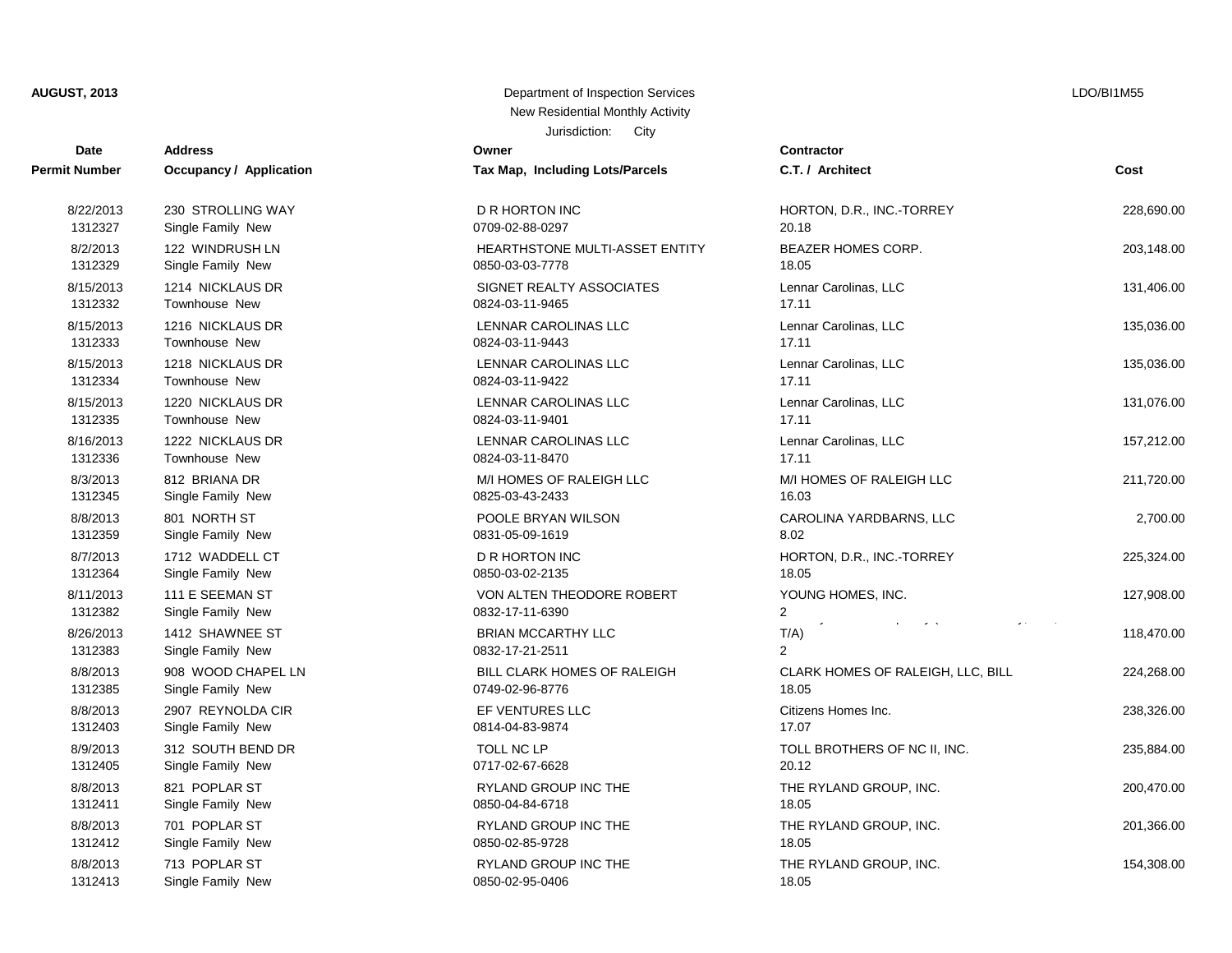**AUGUST, 2013** Department of Inspection Services

| Date                 | <b>Address</b>          | Owner                           | <b>Contractor</b>                 |            |
|----------------------|-------------------------|---------------------------------|-----------------------------------|------------|
| <b>Permit Number</b> | Occupancy / Application | Tax Map, Including Lots/Parcels | C.T. / Architect                  | Cost       |
| 8/22/2013            | 230 STROLLING WAY       | D R HORTON INC                  | HORTON, D.R., INC.-TORREY         | 228,690.00 |
| 1312327              | Single Family New       | 0709-02-88-0297                 | 20.18                             |            |
| 8/2/2013             | 122 WINDRUSH LN         | HEARTHSTONE MULTI-ASSET ENTITY  | <b>BEAZER HOMES CORP.</b>         | 203,148.00 |
| 1312329              | Single Family New       | 0850-03-03-7778                 | 18.05                             |            |
| 8/15/2013            | 1214 NICKLAUS DR        | SIGNET REALTY ASSOCIATES        | Lennar Carolinas, LLC             | 131,406.00 |
| 1312332              | Townhouse New           | 0824-03-11-9465                 | 17.11                             |            |
| 8/15/2013            | 1216 NICKLAUS DR        | LENNAR CAROLINAS LLC            | Lennar Carolinas, LLC             | 135,036.00 |
| 1312333              | Townhouse New           | 0824-03-11-9443                 | 17.11                             |            |
| 8/15/2013            | 1218 NICKLAUS DR        | LENNAR CAROLINAS LLC            | Lennar Carolinas, LLC             | 135,036.00 |
| 1312334              | Townhouse New           | 0824-03-11-9422                 | 17.11                             |            |
| 8/15/2013            | 1220 NICKLAUS DR        | LENNAR CAROLINAS LLC            | Lennar Carolinas, LLC             | 131,076.00 |
| 1312335              | Townhouse New           | 0824-03-11-9401                 | 17.11                             |            |
| 8/16/2013            | 1222 NICKLAUS DR        | LENNAR CAROLINAS LLC            | Lennar Carolinas, LLC             | 157,212.00 |
| 1312336              | Townhouse New           | 0824-03-11-8470                 | 17.11                             |            |
| 8/3/2013             | 812 BRIANA DR           | M/I HOMES OF RALEIGH LLC        | M/I HOMES OF RALEIGH LLC          | 211,720.00 |
| 1312345              | Single Family New       | 0825-03-43-2433                 | 16.03                             |            |
| 8/8/2013             | 801 NORTH ST            | POOLE BRYAN WILSON              | CAROLINA YARDBARNS, LLC           | 2,700.00   |
| 1312359              | Single Family New       | 0831-05-09-1619                 | 8.02                              |            |
| 8/7/2013             | 1712 WADDELL CT         | <b>D R HORTON INC</b>           | HORTON, D.R., INC.-TORREY         | 225,324.00 |
| 1312364              | Single Family New       | 0850-03-02-2135                 | 18.05                             |            |
| 8/11/2013            | 111 E SEEMAN ST         | VON ALTEN THEODORE ROBERT       | YOUNG HOMES, INC.                 | 127,908.00 |
| 1312382              | Single Family New       | 0832-17-11-6390                 | $\overline{2}$                    |            |
| 8/26/2013            | 1412 SHAWNEE ST         | <b>BRIAN MCCARTHY LLC</b>       | $T/A$ )                           | 118,470.00 |
| 1312383              | Single Family New       | 0832-17-21-2511                 | $\overline{2}$                    |            |
| 8/8/2013             | 908 WOOD CHAPEL LN      | BILL CLARK HOMES OF RALEIGH     | CLARK HOMES OF RALEIGH, LLC, BILL | 224,268.00 |
| 1312385              | Single Family New       | 0749-02-96-8776                 | 18.05                             |            |
| 8/8/2013             | 2907 REYNOLDA CIR       | EF VENTURES LLC                 | Citizens Homes Inc.               | 238,326.00 |
| 1312403              | Single Family New       | 0814-04-83-9874                 | 17.07                             |            |
| 8/9/2013             | 312 SOUTH BEND DR       | TOLL NC LP                      | TOLL BROTHERS OF NC II, INC.      | 235,884.00 |
| 1312405              | Single Family New       | 0717-02-67-6628                 | 20.12                             |            |
| 8/8/2013             | 821 POPLAR ST           | RYLAND GROUP INC THE            | THE RYLAND GROUP, INC.            | 200,470.00 |
| 1312411              | Single Family New       | 0850-04-84-6718                 | 18.05                             |            |
| 8/8/2013             | 701 POPLAR ST           | RYLAND GROUP INC THE            | THE RYLAND GROUP, INC.            | 201,366.00 |
| 1312412              | Single Family New       | 0850-02-85-9728                 | 18.05                             |            |
| 8/8/2013             | 713 POPLAR ST           | <b>RYLAND GROUP INC THE</b>     | THE RYLAND GROUP, INC.            | 154,308.00 |
| 1312413              | Single Family New       | 0850-02-95-0406                 | 18.05                             |            |

| New Residential Monthly Activity           |  |
|--------------------------------------------|--|
| Jurisdiction:<br>City                      |  |
| ۱ľ                                         |  |
| lap, Including Lots/Parcels                |  |
|                                            |  |
| <b>IORTON INC</b><br>02-88-0297            |  |
| RTHSTONE MULTI-ASSET ENTITY<br>03-03-7778  |  |
| <b>IET REALTY ASSOCIATES</b><br>03-11-9465 |  |
| <b>JAR CAROLINAS LLC</b><br>03-11-9443     |  |
| JAR CAROLINAS LLC<br>03-11-9422            |  |
| <b>JAR CAROLINAS LLC</b><br>03-11-9401     |  |
| JAR CAROLINAS LLC<br>03-11-8470            |  |
| OMES OF RALEIGH LLC<br>03-43-2433          |  |
| LE BRYAN WILSON<br>05-09-1619              |  |
| <b>IORTON INC</b><br>03-02-2135            |  |
|                                            |  |

| U.I./ Architect                                                          | uυsτ       |
|--------------------------------------------------------------------------|------------|
| HORTON, D.R., INC.-TORREY<br>20.18                                       | 228,690.00 |
| BEAZER HOMES CORP.<br>18.05                                              | 203,148.00 |
| Lennar Carolinas, LLC<br>17.11                                           | 131,406.00 |
| Lennar Carolinas, LLC<br>17.11                                           | 135,036.00 |
| Lennar Carolinas, LLC<br>17.11                                           | 135,036.00 |
| Lennar Carolinas, LLC<br>17.11                                           | 131,076.00 |
| Lennar Carolinas, LLC<br>17.11                                           | 157,212.00 |
| M/I HOMES OF RALEIGH LLC<br>16.03                                        | 211,720.00 |
| CAROLINA YARDBARNS, LLC<br>8.02                                          | 2,700.00   |
| HORTON, D.R., INC.-TORREY<br>18.05                                       | 225,324.00 |
| YOUNG HOMES, INC.<br>2                                                   | 127,908.00 |
| <b>All Contracts</b><br>$\omega$ and $\omega$ is $\omega$ .<br>T/A)<br>2 | 118,470.00 |
| CLARK HOMES OF RALEIGH, LLC, BILL<br>18.05                               | 224,268.00 |
| Citizens Homes Inc.<br>17.07                                             | 238,326.00 |
| TOLL BROTHERS OF NC II, INC.<br>20.12                                    | 235,884.00 |
| THE RYLAND GROUP, INC.<br>18.05                                          | 200,470.00 |
| THE RYLAND GROUP, INC.<br>18.05                                          | 201,366.00 |
| THE RYLAND GROUP, INC.<br>18 በ5                                          | 154,308.00 |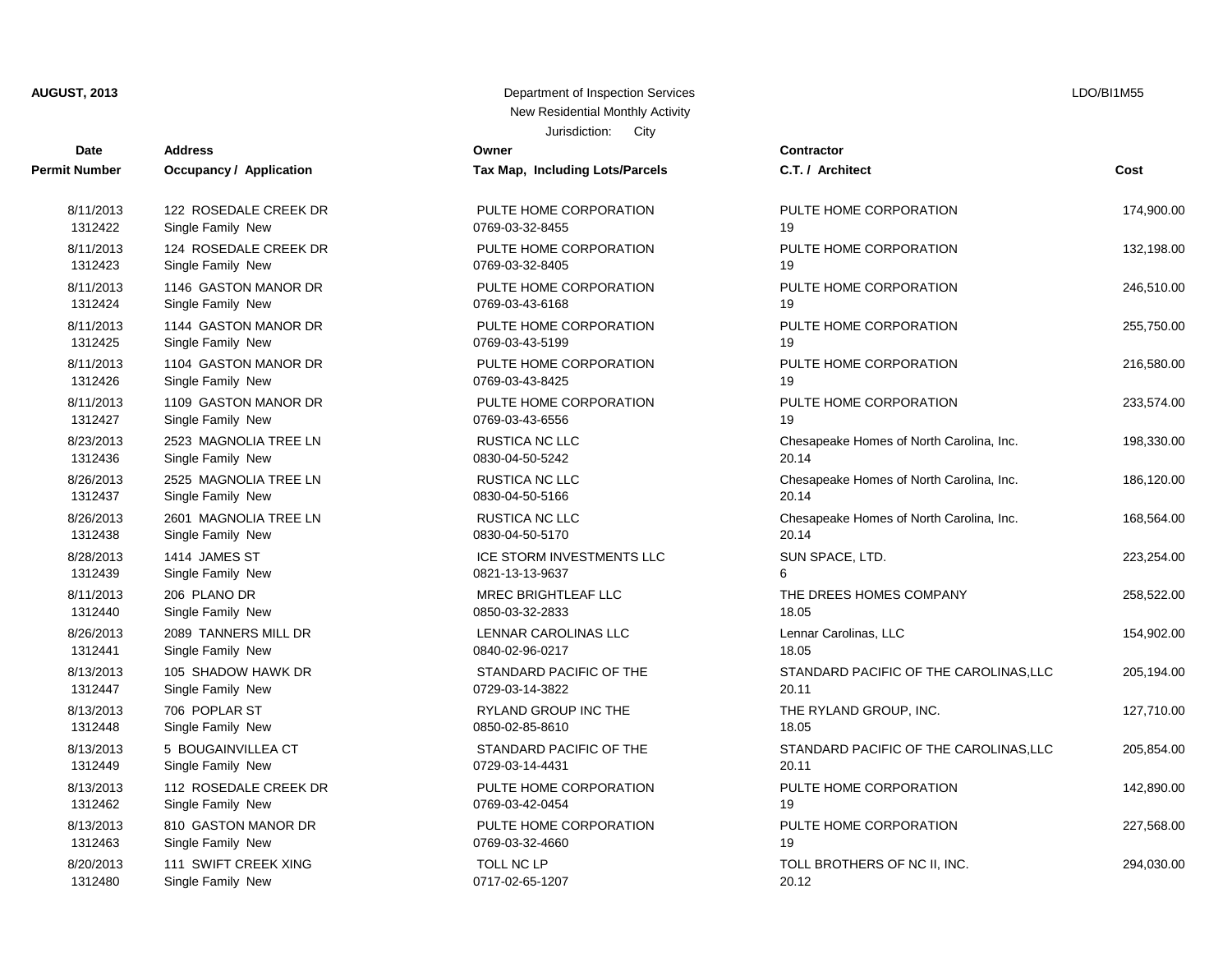| Date          | <b>Address</b>          | Owner                           | Contractor      |
|---------------|-------------------------|---------------------------------|-----------------|
| Permit Number | Occupancy / Application | Tax Map, Including Lots/Parcels | C.T. / Arch     |
| 8/11/2013     | 122 ROSEDALE CREEK DR   | PULTE HOME CORPORATION          | PULTE HO        |
| 1312422       | Single Family New       | 0769-03-32-8455                 | 19              |
| 8/11/2013     | 124 ROSEDALE CREEK DR   | PULTE HOME CORPORATION          | PULTE HO        |
| 1312423       | Single Family New       | 0769-03-32-8405                 | 19              |
| 8/11/2013     | 1146 GASTON MANOR DR    | PULTE HOME CORPORATION          | PULTE HO        |
| 1312424       | Single Family New       | 0769-03-43-6168                 | 19              |
| 8/11/2013     | 1144 GASTON MANOR DR    | PULTE HOME CORPORATION          | PULTE HO        |
| 1312425       | Single Family New       | 0769-03-43-5199                 | 19              |
| 8/11/2013     | 1104 GASTON MANOR DR    | PULTE HOME CORPORATION          | PULTE HO        |
| 1312426       | Single Family New       | 0769-03-43-8425                 | 19              |
| 8/11/2013     | 1109 GASTON MANOR DR    | PULTE HOME CORPORATION          | PULTE HO        |
| 1312427       | Single Family New       | 0769-03-43-6556                 | 19              |
| 8/23/2013     | 2523 MAGNOLIA TREE LN   | RUSTICA NC LLC                  | Chesapeak       |
| 1312436       | Single Family New       | 0830-04-50-5242                 | 20.14           |
| 8/26/2013     | 2525 MAGNOLIA TREE LN   | RUSTICA NC LLC                  | Chesapeak       |
| 1312437       | Single Family New       | 0830-04-50-5166                 | 20.14           |
| 8/26/2013     | 2601 MAGNOLIA TREE LN   | <b>RUSTICA NC LLC</b>           | Chesapeak       |
| 1312438       | Single Family New       | 0830-04-50-5170                 | 20.14           |
| 8/28/2013     | 1414 JAMES ST           | ICE STORM INVESTMENTS LLC       | <b>SUN SPAC</b> |
| 1312439       | Single Family New       | 0821-13-13-9637                 | 6               |
| 8/11/2013     | 206 PLANO DR            | MREC BRIGHTLEAF LLC             | THE DREE        |
| 1312440       | Single Family New       | 0850-03-32-2833                 | 18.05           |
| 8/26/2013     | 2089 TANNERS MILL DR    | LENNAR CAROLINAS LLC            | Lennar Car      |
| 1312441       | Single Family New       | 0840-02-96-0217                 | 18.05           |
| 8/13/2013     | 105 SHADOW HAWK DR      | STANDARD PACIFIC OF THE         | <b>STANDARI</b> |
| 1312447       | Single Family New       | 0729-03-14-3822                 | 20.11           |
| 8/13/2013     | 706 POPLAR ST           | RYLAND GROUP INC THE            | THE RYLA        |
| 1312448       | Single Family New       | 0850-02-85-8610                 | 18.05           |
| 8/13/2013     | 5 BOUGAINVILLEA CT      | STANDARD PACIFIC OF THE         | <b>STANDARI</b> |
| 1312449       | Single Family New       | 0729-03-14-4431                 | 20.11           |
| 8/13/2013     | 112 ROSEDALE CREEK DR   | PULTE HOME CORPORATION          | PULTE HO        |
| 1312462       | Single Family New       | 0769-03-42-0454                 | 19              |
| 8/13/2013     | 810 GASTON MANOR DR     | PULTE HOME CORPORATION          | PULTE HO        |
| 1312463       | Single Family New       | 0769-03-32-4660                 | 19              |
| 8/20/2013     | 111 SWIFT CREEK XING    | <b>TOLL NC LP</b>               | <b>TOLL BRO</b> |
| 1312480       | Single Family New       | 0717-02-65-1207                 | 20.12           |

#### Jurisdiction: City **AUGUST, 2013** Department of Inspection Services New Residential Monthly Activity

**Permit Number Occupancy / Application Tax Map, Including Lots/Parcels C.T. / Architect Cost Cost** PULTE HOME CORPORATION **EXAMPLE PULTE HOME CORPORATION** 174,900.00 PULTE HOME CORPORATION **PULTE HOME CORPORATION** 132.198.00 PULTE HOME CORPORATION PULTE HOME CORPORATION 246,510.00 PULTE HOME CORPORATION **PULTE HOME CORPORATION** 255.750.00 PULTE HOME CORPORATION PULTE HOME CORPORATION 216,580.00 PULTE HOME CORPORATION **PULTE HOME CORPORATION** 233,574.00 RUSTICA NC LLC **Chesapeake Homes of North Carolina**. Inc. 198,330.00 RUSTICA NC LLC **Chesapeake Homes of North Carolina, Inc.** 186,120.00 8/26/2013 2601 MAGNOLIA TREE LN RUSTICA NC LLC Chesapeake Homes of North Carolina, Inc. 168,564.00 ICE STORM INVESTMENTS LLC SUN SPACE, LTD. 223,254.00 MREC BRIGHTLEAF LLC  $\overline{C}$  THE DREES HOMES COMPANY  $\overline{C}$  258,522.00 EXAMPLE AND LENNAR CAROLINAS LLC Lennar Carolinas, LLC 154,902.00 STANDARD PACIFIC OF THE STANDARD PACIFIC OF THE CAROLINAS.LLC 205.194.00 RYLAND GROUP INC THE **EXECUTE THE RYLAND GROUP**, INC. 127,710.00 STANDARD PACIFIC OF THE STANDARD PACIFIC OF THE CAROLINAS, LLC 205,854.00 PULTE HOME CORPORATION PULTE HOME CORPORATION 142,890.00 PULTE HOME CORPORATION PULTE HOME CORPORATION 227,568.00 8/20/2013 111 SWIFT CREEK XING TOLL NC LP TOLL BROTHERS OF NC II, INC. 294,030.00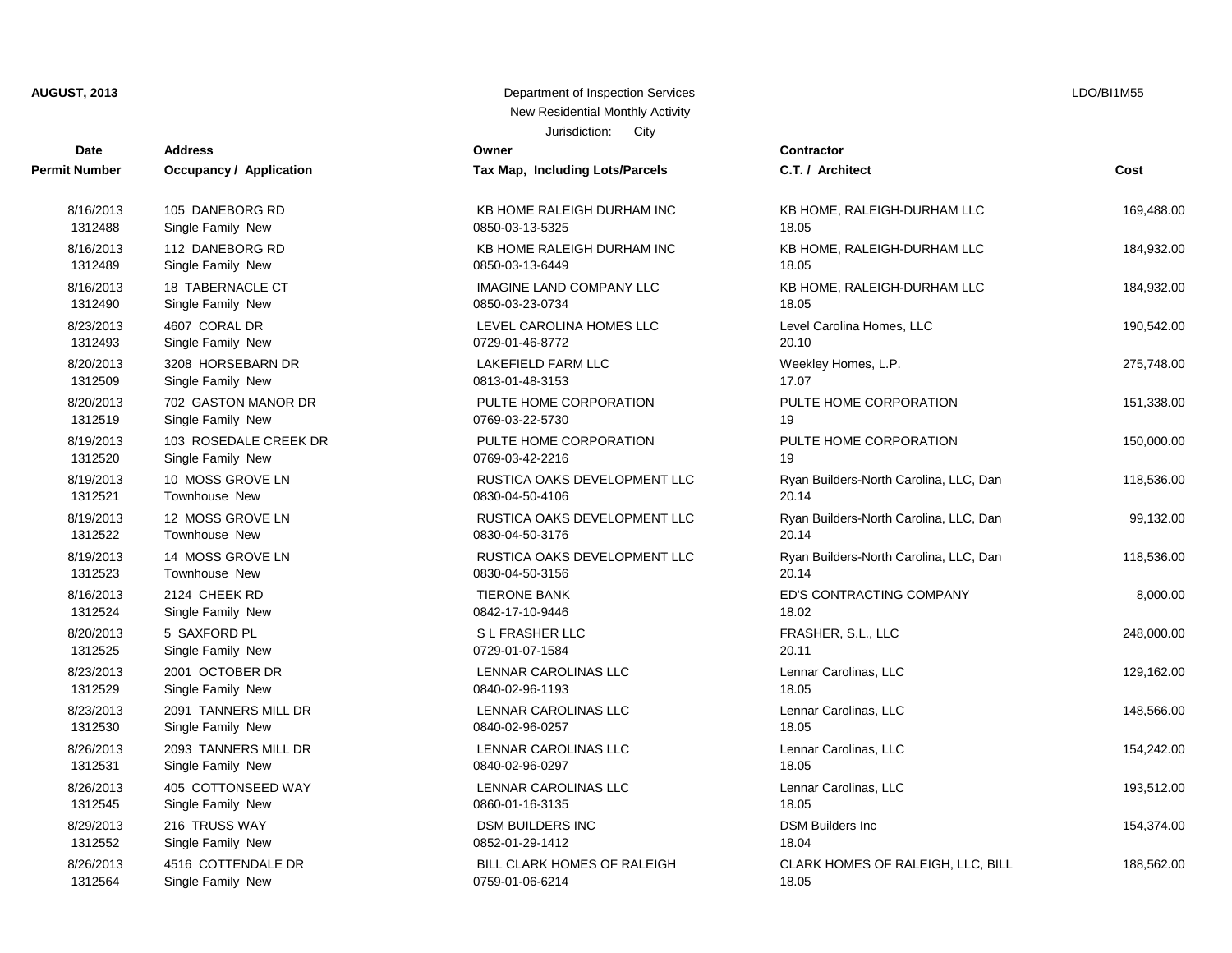| Date                 | <b>Address</b>          | Owner                              | Contractor         |
|----------------------|-------------------------|------------------------------------|--------------------|
| <b>Permit Number</b> | Occupancy / Application | Tax Map, Including Lots/Parcels    | C.T. / Arch        |
| 8/16/2013            | 105 DANEBORG RD         | KB HOME RALEIGH DURHAM INC         | KB HOME,           |
| 1312488              | Single Family New       | 0850-03-13-5325                    | 18.05              |
| 8/16/2013            | 112 DANEBORG RD         | KB HOME RALEIGH DURHAM INC         | KB HOME,           |
| 1312489              | Single Family New       | 0850-03-13-6449                    | 18.05              |
| 8/16/2013            | 18 TABERNACLE CT        | IMAGINE LAND COMPANY LLC           | KB HOME,           |
| 1312490              | Single Family New       | 0850-03-23-0734                    | 18.05              |
| 8/23/2013            | 4607 CORAL DR           | LEVEL CAROLINA HOMES LLC           | <b>Level Carol</b> |
| 1312493              | Single Family New       | 0729-01-46-8772                    | 20.10              |
| 8/20/2013            | 3208 HORSEBARN DR       | <b>LAKEFIELD FARM LLC</b>          | Weekley H          |
| 1312509              | Single Family New       | 0813-01-48-3153                    | 17.07              |
| 8/20/2013            | 702 GASTON MANOR DR     | PULTE HOME CORPORATION             | PULTE HO           |
| 1312519              | Single Family New       | 0769-03-22-5730                    | 19                 |
| 8/19/2013            | 103 ROSEDALE CREEK DR   | PULTE HOME CORPORATION             | PULTE HO           |
| 1312520              | Single Family New       | 0769-03-42-2216                    | 19                 |
| 8/19/2013            | 10 MOSS GROVE LN        | RUSTICA OAKS DEVELOPMENT LLC       | Ryan Build         |
| 1312521              | Townhouse New           | 0830-04-50-4106                    | 20.14              |
| 8/19/2013            | 12 MOSS GROVE LN        | RUSTICA OAKS DEVELOPMENT LLC       | Ryan Build         |
| 1312522              | <b>Townhouse New</b>    | 0830-04-50-3176                    | 20.14              |
| 8/19/2013            | 14 MOSS GROVE LN        | RUSTICA OAKS DEVELOPMENT LLC       | Ryan Build         |
| 1312523              | Townhouse New           | 0830-04-50-3156                    | 20.14              |
| 8/16/2013            | 2124 CHEEK RD           | <b>TIERONE BANK</b>                | ED'S CONT          |
| 1312524              | Single Family New       | 0842-17-10-9446                    | 18.02              |
| 8/20/2013            | 5 SAXFORD PL            | S L FRASHER LLC                    | FRASHER,           |
| 1312525              | Single Family New       | 0729-01-07-1584                    | 20.11              |
| 8/23/2013            | 2001 OCTOBER DR         | LENNAR CAROLINAS LLC               | Lennar Car         |
| 1312529              | Single Family New       | 0840-02-96-1193                    | 18.05              |
| 8/23/2013            | 2091 TANNERS MILL DR    | LENNAR CAROLINAS LLC               | Lennar Car         |
| 1312530              | Single Family New       | 0840-02-96-0257                    | 18.05              |
| 8/26/2013            | 2093 TANNERS MILL DR    | LENNAR CAROLINAS LLC               | Lennar Car         |
| 1312531              | Single Family New       | 0840-02-96-0297                    | 18.05              |
| 8/26/2013            | 405 COTTONSEED WAY      | LENNAR CAROLINAS LLC               | Lennar Car         |
| 1312545              | Single Family New       | 0860-01-16-3135                    | 18.05              |
| 8/29/2013            | 216 TRUSS WAY           | <b>DSM BUILDERS INC</b>            | <b>DSM Builde</b>  |
| 1312552              | Single Family New       | 0852-01-29-1412                    | 18.04              |
| 8/26/2013            | 4516 COTTENDALE DR      | <b>BILL CLARK HOMES OF RALEIGH</b> | <b>CLARK HO</b>    |
| 1312564              | Single Family New       | 0759-01-06-6214                    | 18.05              |

| <b>AUGUST, 2013</b> | Department of Inspection Services |  |
|---------------------|-----------------------------------|--|
|                     | New Residential Monthly Activity  |  |
|                     | Jurisdiction: City                |  |

**Permit Number Permit Application C.T. / Architect Cost Cost** KB HOME RALEIGH DURHAM INC **KB HOME. RALEIGH-DURHAM LLC** 169,488.00 KB HOME RALEIGH DURHAM INC **KB HOME, RALEIGH-DURHAM LLC** 184,932.00 IMAGINE LAND COMPANY LLC KB HOME, RALEIGH-DURHAM LLC 184,932.00 LEVEL CAROLINA HOMES LLC Level Carolina Homes, LLC 190,542.00 LAKEFIELD FARM LLC **1208 Weekley Homes, L.P.** 275,748.00 PULTE HOME CORPORATION PULTE HOME CORPORATION 151,338.00 PULTE HOME CORPORATION **PULTE HOME CORPORATION** 150,000,00 RUSTICA OAKS DEVELOPMENT LLC Ryan Builders-North Carolina, LLC, Dan 118,536.00 RUSTICA OAKS DEVELOPMENT LLC Ryan Builders-North Carolina, LLC, Dan 99,132.00 RUSTICA OAKS DEVELOPMENT LLC Ryan Builders-North Carolina, LLC, Dan 118,536.00 8/16/2013 2124 CHEEK RD TIERONE BANK ED'S CONTRACTING COMPANY 8,000.00 8 L FRASHER LLC 248,000.00 EXAMPLE AND LENNAR CAROLINAS LLC Lennar Carolinas, LLC 129.162.00 EXAMPLE AND LENNAR CAROLINAS LLC Lennar Carolinas, LLC 148,566.00 EXAMPLE ENNAR CAROLINAS LLC Lennar Carolinas, LLC 154,242.00 EXAMPLE AND LENNAR CAROLINAS LLC Lennar Carolinas, LLC 193,512.00 8/29/2013 216 TRUSS WAY CHARGE AND DOM BUILDERS INC DISM BUILDERS INC DISM Builders Inc 2014 216 TRUSS WAY 154,374.00 BILL CLARK HOMES OF RALEIGH CLARK HOMES OF RALEIGH, LLC, BILL 188,562.00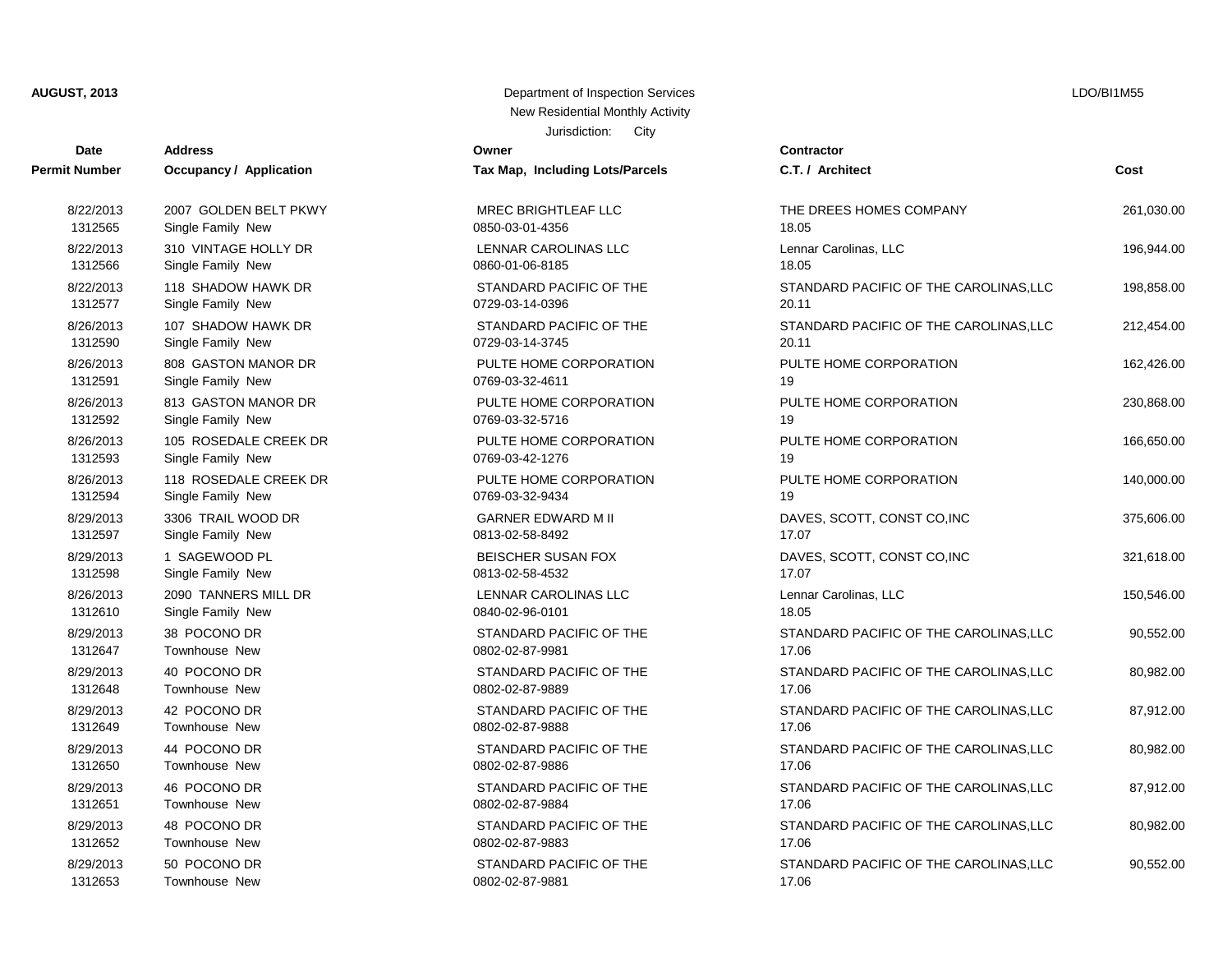| <b>Date</b>   | <b>Address</b>                 | Owner                           | Contractor      |
|---------------|--------------------------------|---------------------------------|-----------------|
| Permit Number | <b>Occupancy / Application</b> | Tax Map, Including Lots/Parcels | C.T. / Arch     |
| 8/22/2013     | 2007 GOLDEN BELT PKWY          | <b>MREC BRIGHTLEAF LLC</b>      | THE DREE        |
| 1312565       | Single Family New              | 0850-03-01-4356                 | 18.05           |
| 8/22/2013     | 310 VINTAGE HOLLY DR           | <b>LENNAR CAROLINAS LLC</b>     | Lennar Car      |
| 1312566       | Single Family New              | 0860-01-06-8185                 | 18.05           |
| 8/22/2013     | 118 SHADOW HAWK DR             | STANDARD PACIFIC OF THE         | <b>STANDARI</b> |
| 1312577       | Single Family New              | 0729-03-14-0396                 | 20.11           |
| 8/26/2013     | 107 SHADOW HAWK DR             | STANDARD PACIFIC OF THE         | <b>STANDARI</b> |
| 1312590       | Single Family New              | 0729-03-14-3745                 | 20.11           |
| 8/26/2013     | 808 GASTON MANOR DR            | PULTE HOME CORPORATION          | PULTE HO        |
| 1312591       | Single Family New              | 0769-03-32-4611                 | 19              |
| 8/26/2013     | 813 GASTON MANOR DR            | PULTE HOME CORPORATION          | PULTE HO        |
| 1312592       | Single Family New              | 0769-03-32-5716                 | 19              |
| 8/26/2013     | 105 ROSEDALE CREEK DR          | PULTE HOME CORPORATION          | PULTE HO        |
| 1312593       | Single Family New              | 0769-03-42-1276                 | 19              |
| 8/26/2013     | 118 ROSEDALE CREEK DR          | PULTE HOME CORPORATION          | PULTE HO        |
| 1312594       | Single Family New              | 0769-03-32-9434                 | 19              |
| 8/29/2013     | 3306 TRAIL WOOD DR             | <b>GARNER EDWARD M II</b>       | DAVES, SO       |
| 1312597       | Single Family New              | 0813-02-58-8492                 | 17.07           |
| 8/29/2013     | 1 SAGEWOOD PL                  | <b>BEISCHER SUSAN FOX</b>       | DAVES, SO       |
| 1312598       | Single Family New              | 0813-02-58-4532                 | 17.07           |
| 8/26/2013     | 2090 TANNERS MILL DR           | LENNAR CAROLINAS LLC            | Lennar Car      |
| 1312610       | Single Family New              | 0840-02-96-0101                 | 18.05           |
| 8/29/2013     | 38 POCONO DR                   | STANDARD PACIFIC OF THE         | <b>STANDARI</b> |
| 1312647       | Townhouse New                  | 0802-02-87-9981                 | 17.06           |
| 8/29/2013     | 40 POCONO DR                   | STANDARD PACIFIC OF THE         | <b>STANDARI</b> |
| 1312648       | <b>Townhouse New</b>           | 0802-02-87-9889                 | 17.06           |
| 8/29/2013     | 42 POCONO DR                   | STANDARD PACIFIC OF THE         | <b>STANDARI</b> |
| 1312649       | Townhouse New                  | 0802-02-87-9888                 | 17.06           |
| 8/29/2013     | 44 POCONO DR                   | STANDARD PACIFIC OF THE         | <b>STANDARI</b> |
| 1312650       | <b>Townhouse New</b>           | 0802-02-87-9886                 | 17.06           |
| 8/29/2013     | 46 POCONO DR                   | STANDARD PACIFIC OF THE         | <b>STANDARI</b> |
| 1312651       | Townhouse New                  | 0802-02-87-9884                 | 17.06           |
| 8/29/2013     | 48 POCONO DR                   | STANDARD PACIFIC OF THE         | <b>STANDARI</b> |
| 1312652       | Townhouse New                  | 0802-02-87-9883                 | 17.06           |
| 8/29/2013     | 50 POCONO DR                   | STANDARD PACIFIC OF THE         | <b>STANDARI</b> |
| 1312653       | Townhouse New                  | 0802-02-87-9881                 | 17.06           |

#### Jurisdiction: City **AUGUST, 2013** Department of Inspection Services New Residential Monthly Activity

**Permit Number Occupancy / Application Tax Map, Including Lots/Parcels C.T. / Architect Cost** MREC BRIGHTLEAF LLC  $\overline{C}$  and  $\overline{C}$  and  $\overline{C}$  the DREES HOMES COMPANY  $\overline{C}$  261.030.00 EXAMPLE HOLLY AND LENNAR CAROLINAS LLC Lennar Carolinas, LLC 196,944.00 STANDARD PACIFIC OF THE STANDARD PACIFIC OF THE CAROLINAS.LLC 198.858.00 1312565 Single Family New 0850-03-01-4356 18.05 STANDARD PACIFIC OF THE STANDARD PACIFIC OF THE CAROLINAS, LLC 212,454.00 1312566 Single Family New 0860-01-06-8185 18.05 PULTE HOME CORPORATION BULTE HOME CORPORATION 162.426.00 1312577 Single Family New 0729-03-14-0396 20.11 PULTE HOME CORPORATION BULTE HOME CORPORATION 230,868,00 1312590 Single Family New 0729-03-14-3745 20.11 PULTE HOME CORPORATION **PULTE HOME CORPORATION** 966,650.00 0769-03-32-4611 19 PULTE HOME CORPORATION PULTE HOME CORPORATION 140,000.00 0769-03-32-5716 19 0769-03-42-1276 19 0769-03-32-9434 19 0813-02-58-8492 17.07 0813-02-58-4532 17.07 1312610 Single Family New 0840-02-96-0101 18.05

GARNER EDWARD M II DAVES, SCOTT, CONST CO,INC 375,606.00 BEISCHER SUSAN FOX BEISCHER SUSAN FOX DAVES, SCOTT, CONST CO,INC 321,618.00 EXAMPLE ARE LENNAR CAROLINAS LLC Lennar Carolinas, LLC 150,546.00 STANDARD PACIFIC OF THE STANDARD PACIFIC OF THE CAROLINAS,LLC 90,552.00 STANDARD PACIFIC OF THE STANDARD PACIFIC OF THE CAROLINAS.LLC 80.982.00 STANDARD PACIFIC OF THE STANDARD PACIFIC OF THE CAROLINAS, LLC 87,912.00 1312647 Townhouse New 0802-02-87-9981 17.06 STANDARD PACIFIC OF THE STANDARD PACIFIC OF THE CAROLINAS, LLC 80,982.00 1312648 Townhouse New 0802-02-87-9889 17.06 STANDARD PACIFIC OF THE STANDARD PACIFIC OF THE CAROLINAS, LLC 87,912.00 STANDARD PACIFIC OF THE STANDARD PACIFIC OF THE CAROLINAS, LLC  $80,982.00$ 1312650 Townhouse New 0802-02-87-9886 17.06 STANDARD PACIFIC OF THE STANDARD PACIFIC OF THE CAROLINAS,LLC 90,552.00 1312651 Townhouse New 0802-02-87-9884 17.06 1312652 Townhouse New 0802-02-87-9883 17.06